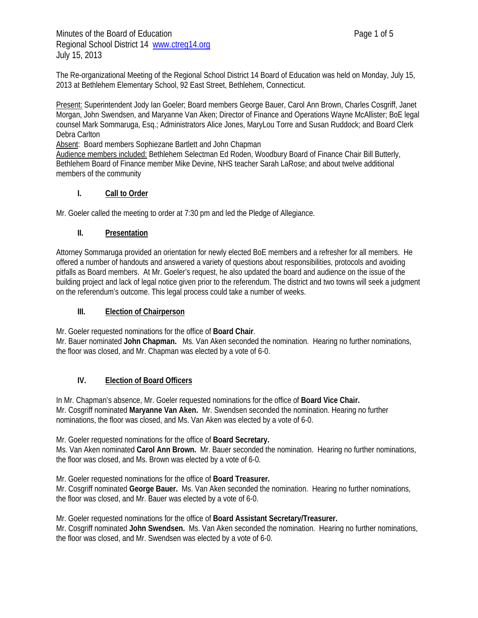Minutes of the Board of Education **Page 1** of 5 Regional School District 14 www.ctreg14.org July 15, 2013

The Re-organizational Meeting of the Regional School District 14 Board of Education was held on Monday, July 15, 2013 at Bethlehem Elementary School, 92 East Street, Bethlehem, Connecticut.

Present: Superintendent Jody Ian Goeler; Board members George Bauer, Carol Ann Brown, Charles Cosgriff, Janet Morgan, John Swendsen, and Maryanne Van Aken; Director of Finance and Operations Wayne McAllister; BoE legal counsel Mark Sommaruga, Esq.; Administrators Alice Jones, MaryLou Torre and Susan Ruddock; and Board Clerk Debra Carlton

Absent: Board members Sophiezane Bartlett and John Chapman

Audience members included: Bethlehem Selectman Ed Roden, Woodbury Board of Finance Chair Bill Butterly, Bethlehem Board of Finance member Mike Devine, NHS teacher Sarah LaRose; and about twelve additional members of the community

## **I. Call to Order**

Mr. Goeler called the meeting to order at 7:30 pm and led the Pledge of Allegiance.

## **II. Presentation**

Attorney Sommaruga provided an orientation for newly elected BoE members and a refresher for all members. He offered a number of handouts and answered a variety of questions about responsibilities, protocols and avoiding pitfalls as Board members. At Mr. Goeler's request, he also updated the board and audience on the issue of the building project and lack of legal notice given prior to the referendum. The district and two towns will seek a judgment on the referendum's outcome. This legal process could take a number of weeks.

#### **III. Election of Chairperson**

Mr. Goeler requested nominations for the office of **Board Chair**.

Mr. Bauer nominated **John Chapman.** Ms. Van Aken seconded the nomination. Hearing no further nominations, the floor was closed, and Mr. Chapman was elected by a vote of 6-0.

## **IV. Election of Board Officers**

In Mr. Chapman's absence, Mr. Goeler requested nominations for the office of **Board Vice Chair.**  Mr. Cosgriff nominated **Maryanne Van Aken.** Mr. Swendsen seconded the nomination. Hearing no further nominations, the floor was closed, and Ms. Van Aken was elected by a vote of 6-0.

Mr. Goeler requested nominations for the office of **Board Secretary.**

Ms. Van Aken nominated **Carol Ann Brown.** Mr. Bauer seconded the nomination. Hearing no further nominations, the floor was closed, and Ms. Brown was elected by a vote of 6-0.

Mr. Goeler requested nominations for the office of **Board Treasurer.**

Mr. Cosgriff nominated **George Bauer.** Ms. Van Aken seconded the nomination. Hearing no further nominations, the floor was closed, and Mr. Bauer was elected by a vote of 6-0.

Mr. Goeler requested nominations for the office of **Board Assistant Secretary/Treasurer.**

Mr. Cosgriff nominated **John Swendsen.** Ms. Van Aken seconded the nomination. Hearing no further nominations, the floor was closed, and Mr. Swendsen was elected by a vote of 6-0.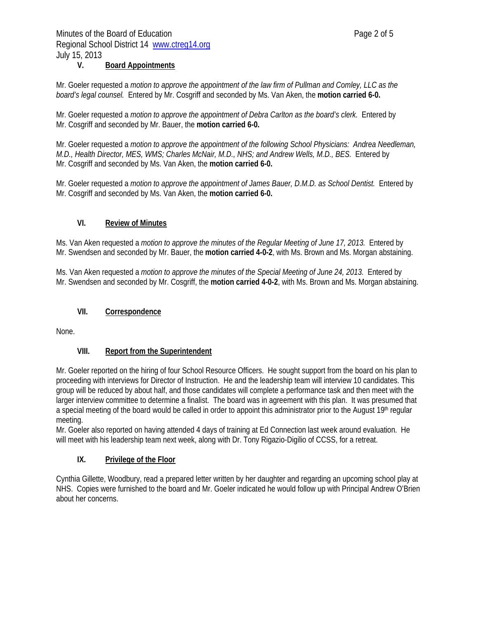## **V. Board Appointments**

Mr. Goeler requested a *motion to approve the appointment of the law firm of Pullman and Comley, LLC as the board's legal counsel.* Entered by Mr. Cosgriff and seconded by Ms. Van Aken, the **motion carried 6-0.** 

Mr. Goeler requested a *motion to approve the appointment of Debra Carlton as the board's clerk.* Entered by Mr. Cosgriff and seconded by Mr. Bauer, the **motion carried 6-0.**

Mr. Goeler requested a *motion to approve the appointment of the following School Physicians: Andrea Needleman, M.D., Health Director, MES, WMS; Charles McNair, M.D., NHS; and Andrew Wells, M.D., BES.* Entered by Mr. Cosgriff and seconded by Ms. Van Aken, the **motion carried 6-0.** 

Mr. Goeler requested a *motion to approve the appointment of James Bauer, D.M.D. as School Dentist.* Entered by Mr. Cosgriff and seconded by Ms. Van Aken, the **motion carried 6-0.**

#### **VI. Review of Minutes**

Ms. Van Aken requested a *motion to approve the minutes of the Regular Meeting of June 17, 2013.* Entered by Mr. Swendsen and seconded by Mr. Bauer, the **motion carried 4-0-2**, with Ms. Brown and Ms. Morgan abstaining.

Ms. Van Aken requested a *motion to approve the minutes of the Special Meeting of June 24, 2013.* Entered by Mr. Swendsen and seconded by Mr. Cosgriff, the **motion carried 4-0-2**, with Ms. Brown and Ms. Morgan abstaining.

#### **VII. Correspondence**

None.

#### **VIII. Report from the Superintendent**

Mr. Goeler reported on the hiring of four School Resource Officers. He sought support from the board on his plan to proceeding with interviews for Director of Instruction. He and the leadership team will interview 10 candidates. This group will be reduced by about half, and those candidates will complete a performance task and then meet with the larger interview committee to determine a finalist. The board was in agreement with this plan. It was presumed that a special meeting of the board would be called in order to appoint this administrator prior to the August 19th regular meeting.

Mr. Goeler also reported on having attended 4 days of training at Ed Connection last week around evaluation. He will meet with his leadership team next week, along with Dr. Tony Rigazio-Digilio of CCSS, for a retreat.

#### **IX. Privilege of the Floor**

Cynthia Gillette, Woodbury, read a prepared letter written by her daughter and regarding an upcoming school play at NHS. Copies were furnished to the board and Mr. Goeler indicated he would follow up with Principal Andrew O'Brien about her concerns.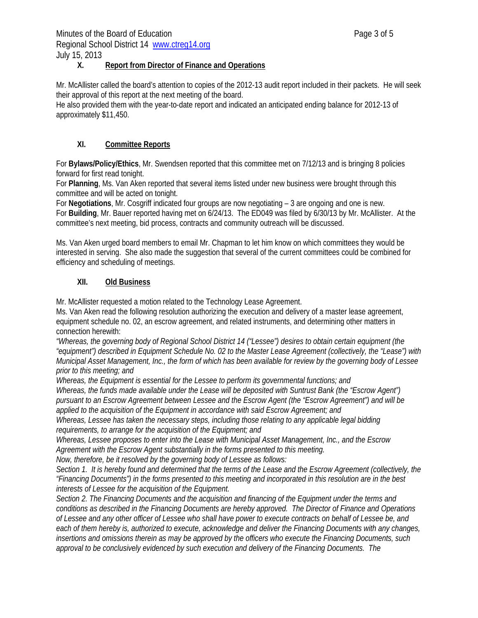## **X. Report from Director of Finance and Operations**

Mr. McAllister called the board's attention to copies of the 2012-13 audit report included in their packets. He will seek their approval of this report at the next meeting of the board.

He also provided them with the year-to-date report and indicated an anticipated ending balance for 2012-13 of approximately \$11,450.

# **XI. Committee Reports**

For **Bylaws/Policy/Ethics**, Mr. Swendsen reported that this committee met on 7/12/13 and is bringing 8 policies forward for first read tonight.

For **Planning**, Ms. Van Aken reported that several items listed under new business were brought through this committee and will be acted on tonight.

For **Negotiations**, Mr. Cosgriff indicated four groups are now negotiating – 3 are ongoing and one is new. For **Building**, Mr. Bauer reported having met on 6/24/13. The ED049 was filed by 6/30/13 by Mr. McAllister. At the committee's next meeting, bid process, contracts and community outreach will be discussed.

Ms. Van Aken urged board members to email Mr. Chapman to let him know on which committees they would be interested in serving. She also made the suggestion that several of the current committees could be combined for efficiency and scheduling of meetings.

## **XII. Old Business**

Mr. McAllister requested a motion related to the Technology Lease Agreement.

Ms. Van Aken read the following resolution authorizing the execution and delivery of a master lease agreement, equipment schedule no. 02, an escrow agreement, and related instruments, and determining other matters in connection herewith:

*"Whereas, the governing body of Regional School District 14 ("Lessee") desires to obtain certain equipment (the "equipment") described in Equipment Schedule No. 02 to the Master Lease Agreement (collectively, the "Lease") with Municipal Asset Management, Inc., the form of which has been available for review by the governing body of Lessee prior to this meeting; and* 

*Whereas, the Equipment is essential for the Lessee to perform its governmental functions; and Whereas, the funds made available under the Lease will be deposited with Suntrust Bank (the "Escrow Agent") pursuant to an Escrow Agreement between Lessee and the Escrow Agent (the "Escrow Agreement") and will be applied to the acquisition of the Equipment in accordance with said Escrow Agreement; and* 

*Whereas, Lessee has taken the necessary steps, including those relating to any applicable legal bidding requirements, to arrange for the acquisition of the Equipment; and* 

*Whereas, Lessee proposes to enter into the Lease with Municipal Asset Management, Inc., and the Escrow Agreement with the Escrow Agent substantially in the forms presented to this meeting.* 

*Now, therefore, be it resolved by the governing body of Lessee as follows:* 

*Section 1. It is hereby found and determined that the terms of the Lease and the Escrow Agreement (collectively, the "Financing Documents") in the forms presented to this meeting and incorporated in this resolution are in the best interests of Lessee for the acquisition of the Equipment.* 

*Section 2. The Financing Documents and the acquisition and financing of the Equipment under the terms and conditions as described in the Financing Documents are hereby approved. The Director of Finance and Operations of Lessee and any other officer of Lessee who shall have power to execute contracts on behalf of Lessee be, and each of them hereby is, authorized to execute, acknowledge and deliver the Financing Documents with any changes, insertions and omissions therein as may be approved by the officers who execute the Financing Documents, such approval to be conclusively evidenced by such execution and delivery of the Financing Documents. The*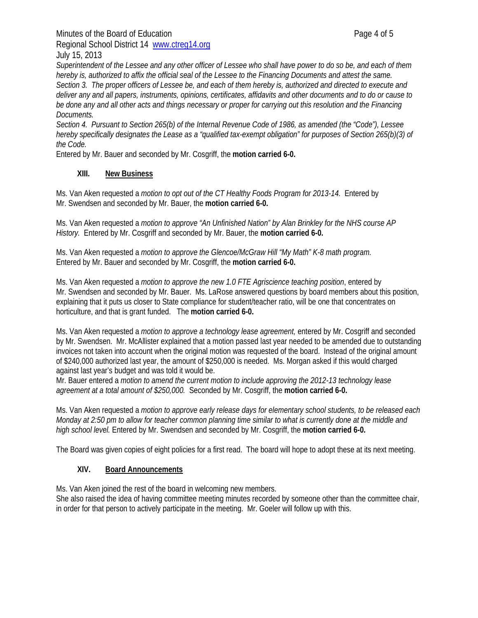Minutes of the Board of Education **Page 4 of 5** Regional School District 14 www.ctreg14.org

July 15, 2013

*Superintendent of the Lessee and any other officer of Lessee who shall have power to do so be, and each of them hereby is, authorized to affix the official seal of the Lessee to the Financing Documents and attest the same. Section 3. The proper officers of Lessee be, and each of them hereby is, authorized and directed to execute and deliver any and all papers, instruments, opinions, certificates, affidavits and other documents and to do or cause to be done any and all other acts and things necessary or proper for carrying out this resolution and the Financing Documents.* 

*Section 4. Pursuant to Section 265(b) of the Internal Revenue Code of 1986, as amended (the "Code"), Lessee hereby specifically designates the Lease as a "qualified tax-exempt obligation" for purposes of Section 265(b)(3) of the Code.* 

Entered by Mr. Bauer and seconded by Mr. Cosgriff, the **motion carried 6-0.**

# **XIII. New Business**

Ms. Van Aken requested a *motion to opt out of the CT Healthy Foods Program for 2013-14.* Entered by Mr. Swendsen and seconded by Mr. Bauer, the **motion carried 6-0.**

Ms. Van Aken requested a *motion to approve "An Unfinished Nation" by Alan Brinkley for the NHS course AP History.* Entered by Mr. Cosgriff and seconded by Mr. Bauer, the **motion carried 6-0.**

Ms. Van Aken requested a *motion to approve the Glencoe/McGraw Hill "My Math" K-8 math program.* Entered by Mr. Bauer and seconded by Mr. Cosgriff, the **motion carried 6-0.**

Ms. Van Aken requested a *motion to approve the new 1.0 FTE Agriscience teaching position*, entered by Mr. Swendsen and seconded by Mr. Bauer. Ms. LaRose answered questions by board members about this position, explaining that it puts us closer to State compliance for student/teacher ratio, will be one that concentrates on horticulture, and that is grant funded. The **motion carried 6-0.**

Ms. Van Aken requested a *motion to approve a technology lease agreement,* entered by Mr. Cosgriff and seconded by Mr. Swendsen. Mr. McAllister explained that a motion passed last year needed to be amended due to outstanding invoices not taken into account when the original motion was requested of the board. Instead of the original amount of \$240,000 authorized last year, the amount of \$250,000 is needed. Ms. Morgan asked if this would charged against last year's budget and was told it would be.

Mr. Bauer entered a *motion to amend the current motion to include approving the 2012-13 technology lease agreement at a total amount of \$250,000.* Seconded by Mr. Cosgriff, the **motion carried 6-0.** 

Ms. Van Aken requested a *motion to approve early release days for elementary school students, to be released each Monday at 2:50 pm to allow for teacher common planning time similar to what is currently done at the middle and high school level.* Entered by Mr. Swendsen and seconded by Mr. Cosgriff, the **motion carried 6-0.**

The Board was given copies of eight policies for a first read. The board will hope to adopt these at its next meeting.

## **XIV. Board Announcements**

Ms. Van Aken joined the rest of the board in welcoming new members.

She also raised the idea of having committee meeting minutes recorded by someone other than the committee chair, in order for that person to actively participate in the meeting. Mr. Goeler will follow up with this.